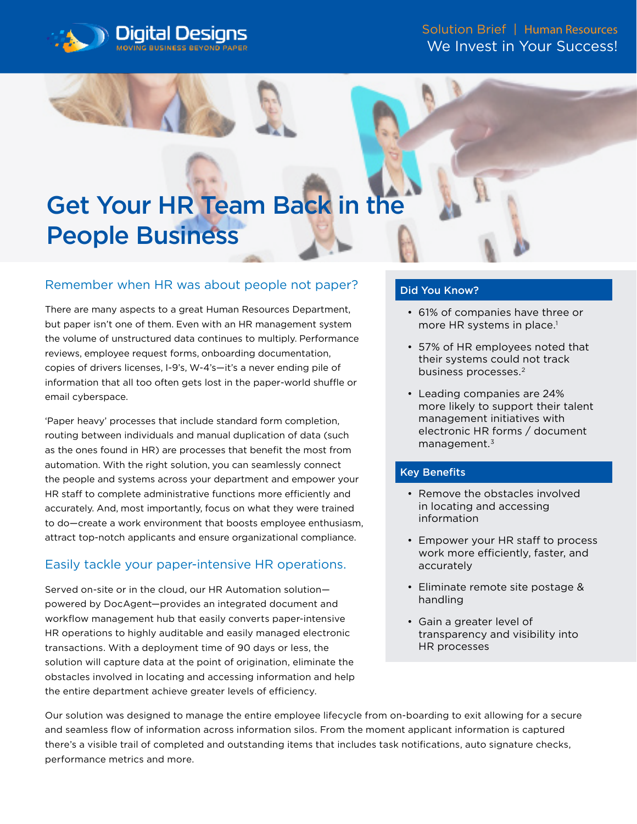



## Remember when HR was about people not paper?

There are many aspects to a great Human Resources Department, but paper isn't one of them. Even with an HR management system the volume of unstructured data continues to multiply. Performance reviews, employee request forms, onboarding documentation, copies of drivers licenses, I-9's, W-4's—it's a never ending pile of information that all too often gets lost in the paper-world shuffle or email cyberspace.

'Paper heavy' processes that include standard form completion, routing between individuals and manual duplication of data (such as the ones found in HR) are processes that benefit the most from automation. With the right solution, you can seamlessly connect the people and systems across your department and empower your HR staff to complete administrative functions more efficiently and accurately. And, most importantly, focus on what they were trained to do—create a work environment that boosts employee enthusiasm, attract top-notch applicants and ensure organizational compliance.

# Easily tackle your paper-intensive HR operations.

Served on-site or in the cloud, our HR Automation solution powered by DocAgent—provides an integrated document and workflow management hub that easily converts paper-intensive HR operations to highly auditable and easily managed electronic transactions. With a deployment time of 90 days or less, the solution will capture data at the point of origination, eliminate the obstacles involved in locating and accessing information and help the entire department achieve greater levels of efficiency.

#### Did You Know?

- 61% of companies have three or more HR systems in place.<sup>1</sup>
- 57% of HR employees noted that their systems could not track business processes.<sup>2</sup>
- Leading companies are 24% more likely to support their talent management initiatives with electronic HR forms / document management.3

### Key Benefits

- Remove the obstacles involved in locating and accessing information
- Empower your HR staff to process work more efficiently, faster, and accurately
- Eliminate remote site postage & handling
- Gain a greater level of transparency and visibility into HR processes

Our solution was designed to manage the entire employee lifecycle from on-boarding to exit allowing for a secure and seamless flow of information across information silos. From the moment applicant information is captured there's a visible trail of completed and outstanding items that includes task notifications, auto signature checks, performance metrics and more.